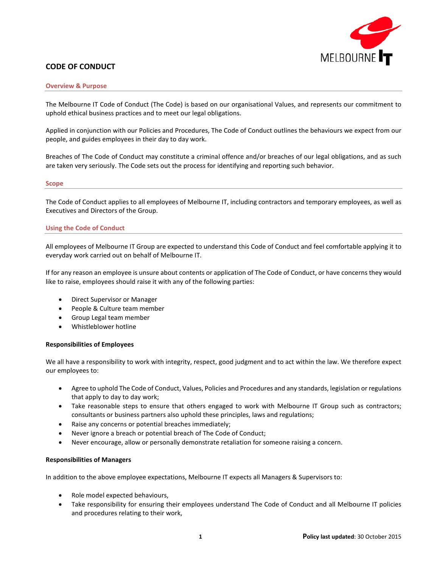

# **CODE OF CONDUCT**

### **Overview & Purpose**

The Melbourne IT Code of Conduct (The Code) is based on our organisational Values, and represents our commitment to uphold ethical business practices and to meet our legal obligations.

Applied in conjunction with our Policies and Procedures, The Code of Conduct outlines the behaviours we expect from our people, and guides employees in their day to day work.

Breaches of The Code of Conduct may constitute a criminal offence and/or breaches of our legal obligations, and as such are taken very seriously. The Code sets out the process for identifying and reporting such behavior.

### **Scope**

The Code of Conduct applies to all employees of Melbourne IT, including contractors and temporary employees, as well as Executives and Directors of the Group.

# **Using the Code of Conduct**

All employees of Melbourne IT Group are expected to understand this Code of Conduct and feel comfortable applying it to everyday work carried out on behalf of Melbourne IT.

If for any reason an employee is unsure about contents or application of The Code of Conduct, or have concerns they would like to raise, employees should raise it with any of the following parties:

- Direct Supervisor or Manager
- People & Culture team member
- Group Legal team member
- Whistleblower hotline

# **Responsibilities of Employees**

We all have a responsibility to work with integrity, respect, good judgment and to act within the law. We therefore expect our employees to:

- Agree to uphold The Code of Conduct, Values, Policies and Procedures and any standards, legislation or regulations that apply to day to day work;
- Take reasonable steps to ensure that others engaged to work with Melbourne IT Group such as contractors; consultants or business partners also uphold these principles, laws and regulations;
- Raise any concerns or potential breaches immediately;
- Never ignore a breach or potential breach of The Code of Conduct;
- Never encourage, allow or personally demonstrate retaliation for someone raising a concern.

# **Responsibilities of Managers**

In addition to the above employee expectations, Melbourne IT expects all Managers & Supervisors to:

- Role model expected behaviours,
- Take responsibility for ensuring their employees understand The Code of Conduct and all Melbourne IT policies and procedures relating to their work,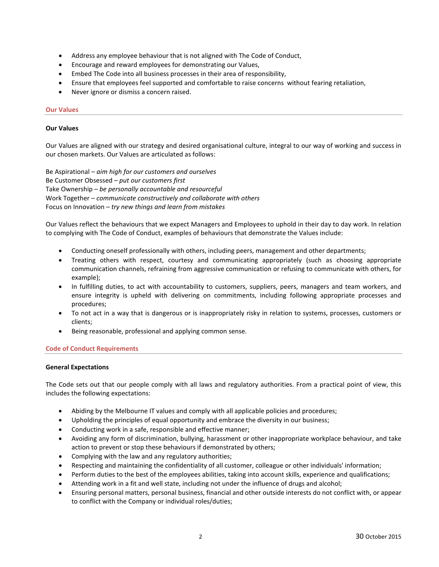- Address any employee behaviour that is not aligned with The Code of Conduct,
- Encourage and reward employees for demonstrating our Values,
- Embed The Code into all business processes in their area of responsibility,
- Ensure that employees feel supported and comfortable to raise concerns without fearing retaliation,
- Never ignore or dismiss a concern raised.

# **Our Values**

# **Our Values**

Our Values are aligned with our strategy and desired organisational culture, integral to our way of working and success in our chosen markets. Our Values are articulated as follows:

Be Aspirational – *aim high for our customers and ourselves* Be Customer Obsessed – *put our customers first* Take Ownership – *be personally accountable and resourceful* Work Together – *communicate constructively and collaborate with others* Focus on Innovation – *try new things and learn from mistakes*

Our Values reflect the behaviours that we expect Managers and Employees to uphold in their day to day work. In relation to complying with The Code of Conduct, examples of behaviours that demonstrate the Values include:

- Conducting oneself professionally with others, including peers, management and other departments;
- Treating others with respect, courtesy and communicating appropriately (such as choosing appropriate communication channels, refraining from aggressive communication or refusing to communicate with others, for example);
- In fulfilling duties, to act with accountability to customers, suppliers, peers, managers and team workers, and ensure integrity is upheld with delivering on commitments, including following appropriate processes and procedures;
- To not act in a way that is dangerous or is inappropriately risky in relation to systems, processes, customers or clients;
- Being reasonable, professional and applying common sense.

# **Code of Conduct Requirements**

# **General Expectations**

The Code sets out that our people comply with all laws and regulatory authorities. From a practical point of view, this includes the following expectations:

- Abiding by the Melbourne IT values and comply with all applicable policies and procedures;
- Upholding the principles of equal opportunity and embrace the diversity in our business;
- Conducting work in a safe, responsible and effective manner;
- Avoiding any form of discrimination, bullying, harassment or other inappropriate workplace behaviour, and take action to prevent or stop these behaviours if demonstrated by others;
- Complying with the law and any regulatory authorities;
- Respecting and maintaining the confidentiality of all customer, colleague or other individuals' information;
- Perform duties to the best of the employees abilities, taking into account skills, experience and qualifications;
- Attending work in a fit and well state, including not under the influence of drugs and alcohol;
- Ensuring personal matters, personal business, financial and other outside interests do not conflict with, or appear to conflict with the Company or individual roles/duties;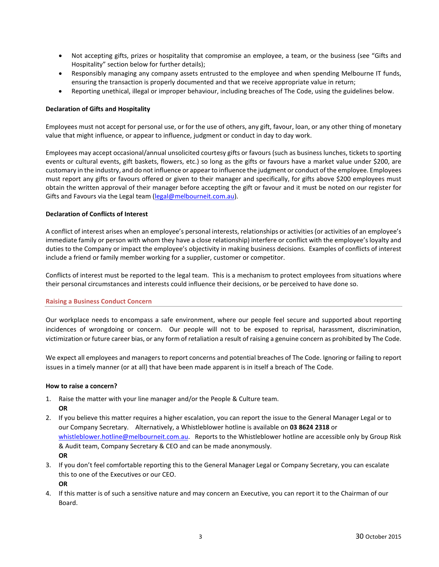- Not accepting gifts, prizes or hospitality that compromise an employee, a team, or the business (see "Gifts and Hospitality" section below for further details);
- Responsibly managing any company assets entrusted to the employee and when spending Melbourne IT funds, ensuring the transaction is properly documented and that we receive appropriate value in return;
- Reporting unethical, illegal or improper behaviour, including breaches of The Code, using the guidelines below.

# **Declaration of Gifts and Hospitality**

Employees must not accept for personal use, or for the use of others, any gift, favour, loan, or any other thing of monetary value that might influence, or appear to influence, judgment or conduct in day to day work.

Employees may accept occasional/annual unsolicited courtesy gifts or favours (such as business lunches, tickets to sporting events or cultural events, gift baskets, flowers, etc.) so long as the gifts or favours have a market value under \$200, are customary in the industry, and do not influence or appear to influence the judgment or conduct of the employee. Employees must report any gifts or favours offered or given to their manager and specifically, for gifts above \$200 employees must obtain the written approval of their manager before accepting the gift or favour and it must be noted on our register for Gifts and Favours via the Legal team [\(legal@melbourneit.com.au\)](mailto:legal@melbourneit.com.au).

# **Declaration of Conflicts of Interest**

A conflict of interest arises when an employee's personal interests, relationships or activities (or activities of an employee's immediate family or person with whom they have a close relationship) interfere or conflict with the employee's loyalty and duties to the Company or impact the employee's objectivity in making business decisions. Examples of conflicts of interest include a friend or family member working for a supplier, customer or competitor.

Conflicts of interest must be reported to the legal team. This is a mechanism to protect employees from situations where their personal circumstances and interests could influence their decisions, or be perceived to have done so.

# **Raising a Business Conduct Concern**

Our workplace needs to encompass a safe environment, where our people feel secure and supported about reporting incidences of wrongdoing or concern. Our people will not to be exposed to reprisal, harassment, discrimination, victimization or future career bias, or any form of retaliation a result of raising a genuine concern as prohibited by The Code.

We expect all employees and managers to report concerns and potential breaches of The Code. Ignoring or failing to report issues in a timely manner (or at all) that have been made apparent is in itself a breach of The Code.

# **How to raise a concern?**

- 1. Raise the matter with your line manager and/or the People & Culture team. **OR**
- 2. If you believe this matter requires a higher escalation, you can report the issue to the General Manager Legal or to our Company Secretary. Alternatively, a Whistleblower hotline is available on **03 8624 2318** or whistleblower.hotline@melbourneit.com.au. Reports to the Whistleblower hotline are accessible only by Group Risk & Audit team, Company Secretary & CEO and can be made anonymously. **OR**
- 3. If you don't feel comfortable reporting this to the General Manager Legal or Company Secretary, you can escalate this to one of the Executives or our CEO.

**OR**

4. If this matter is of such a sensitive nature and may concern an Executive, you can report it to the Chairman of our Board.